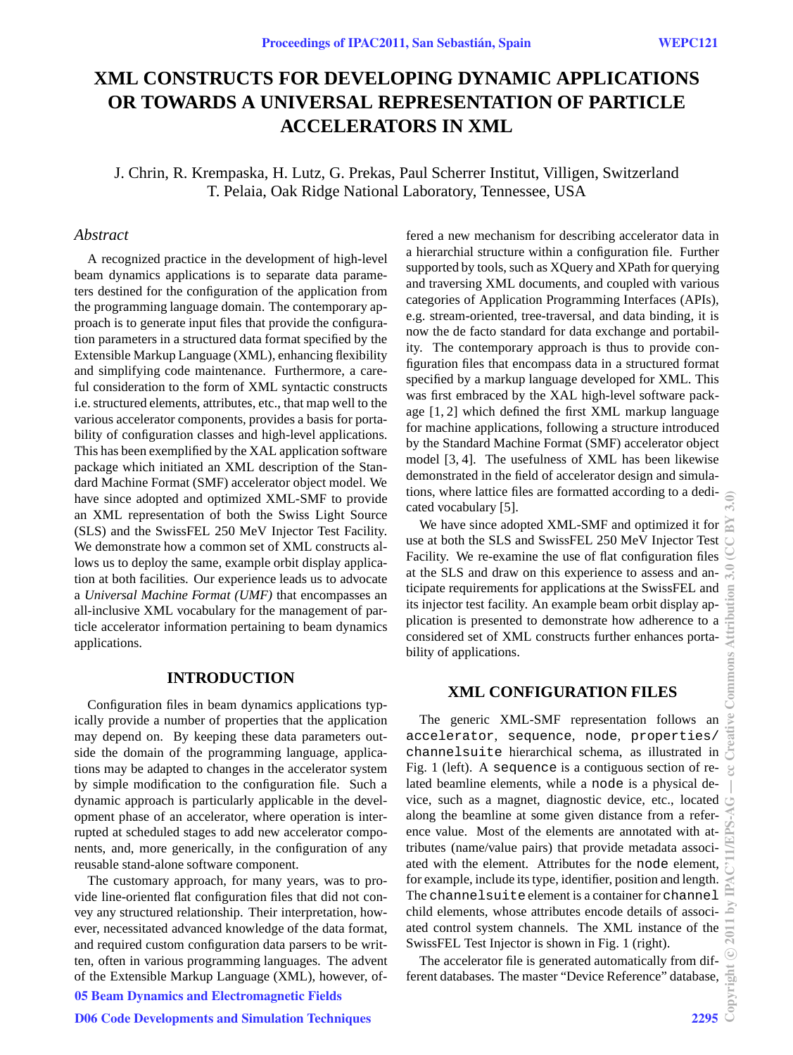# **XML CONSTRUCTS FOR DEVELOPING DYNAMIC APPLICATIONS OR TOWARDS A UNIVERSAL REPRESENTATION OF PARTICLE ACCELERATORS IN XML**

J. Chrin, R. Krempaska, H. Lutz, G. Prekas, Paul Scherrer Institut, Villigen, Switzerland T. Pelaia, Oak Ridge National Laboratory, Tennessee, USA

### *Abstract*

A recognized practice in the development of high-level beam dynamics applications is to separate data parameters destined for the configuration of the application from the programming language domain. The contemporary approach is to generate input files that provide the configuration parameters in a structured data format specified by the Extensible Markup Language (XML), enhancing flexibility and simplifying code maintenance. Furthermore, a careful consideration to the form of XML syntactic constructs i.e. structured elements, attributes, etc., that map well to the various accelerator components, provides a basis for portability of configuration classes and high-level applications. This has been exemplified by the XAL application software package which initiated an XML description of the Standard Machine Format (SMF) accelerator object model. We have since adopted and optimized XML-SMF to provide an XML representation of both the Swiss Light Source (SLS) and the SwissFEL 250 MeV Injector Test Facility. We demonstrate how a common set of XML constructs allows us to deploy the same, example orbit display application at both facilities. Our experience leads us to advocate a *Universal Machine Format (UMF)* that encompasses an all-inclusive XML vocabulary for the management of particle accelerator information pertaining to beam dynamics applications.

# **INTRODUCTION**

Configuration files in beam dynamics applications typically provide a number of properties that the application may depend on. By keeping these data parameters outside the domain of the programming language, applications may be adapted to changes in the accelerator system by simple modification to the configuration file. Such a dynamic approach is particularly applicable in the development phase of an accelerator, where operation is interrupted at scheduled stages to add new accelerator components, and, more generically, in the configuration of any reusable stand-alone software component.

The customary approach, for many years, was to provide line-oriented flat configuration files that did not convey any structured relationship. Their interpretation, however, necessitated advanced knowledge of the data format, and required custom configuration data parsers to be written, often in various programming languages. The advent of the Extensible Markup Language (XML), however, of-05 Beam Dynamics and Electromagnetic Fields

D06 Code Developments and Simulation Techniques 2295

fered a new mechanism for describing accelerator data in a hierarchial structure within a configuration file. Further supported by tools, such as XQuery and XPath for querying and traversing XML documents, and coupled with various categories of Application Programming Interfaces (APIs), e.g. stream-oriented, tree-traversal, and data binding, it is now the de facto standard for data exchange and portability. The contemporary approach is thus to provide configuration files that encompass data in a structured format specified by a markup language developed for XML. This was first embraced by the XAL high-level software package [1, 2] which defined the first XML markup language for machine applications, following a structure introduced by the Standard Machine Format (SMF) accelerator object model [3, 4]. The usefulness of XML has been likewise demonstrated in the field of accelerator design and simulations, where lattice files are formatted according to a dedicated vocabulary [5].

We have since adopted XML-SMF and optimized it for use at both the SLS and SwissFEL 250 MeV Injector Test Facility. We re-examine the use of flat configuration files at the SLS and draw on this experience to assess and anticipate requirements for applications at the SwissFEL and its injector test facility. An example beam orbit display application is presented to demonstrate how adherence to a considered set of XML constructs further enhances portability of applications.

# **XML CONFIGURATION FILES**

The generic XML-SMF representation follows an accelerator, sequence, node, properties/ channelsuite hierarchical schema, as illustrated in Fig. 1 (left). A sequence is a contiguous section of related beamline elements, while a node is a physical device, such as a magnet, diagnostic device, etc., located along the beamline at some given distance from a reference value. Most of the elements are annotated with attributes (name/value pairs) that provide metadata associated with the element. Attributes for the node element, for example, include its type, identifier, position and length. The channelsuite element is a container for channel child elements, whose attributes encode details of associated control system channels. The XML instance of the SwissFEL Test Injector is shown in Fig. 1 (right).

The accelerator file is generated automatically from different databases. The master "Device Reference" database,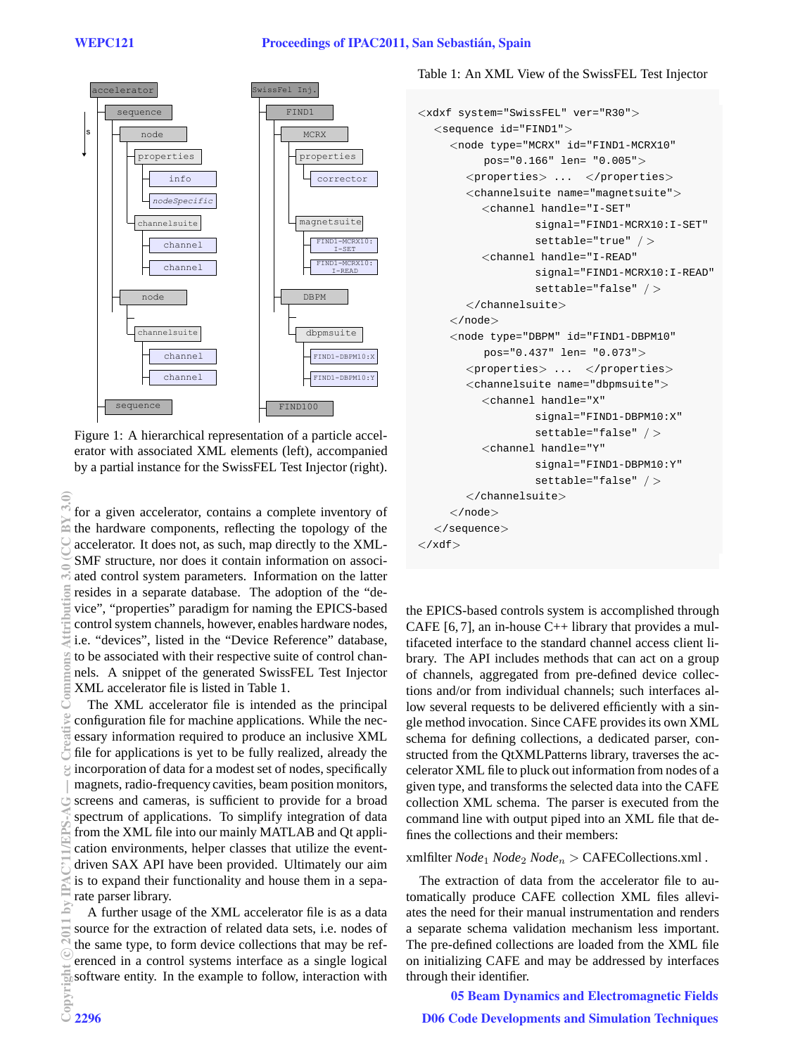

Figure 1: A hierarchical representation of a particle accelerator with associated XML elements (left), accompanied by a partial instance for the SwissFEL Test Injector (right).

for a given accelerator, contains a complete inventory of the hardware components, reflecting the topology of the accelerator. It does not, as such, map directly to the XML-SMF structure, nor does it contain information on associated control system parameters. Information on the latter resides in a separate database. The adoption of the "device", "properties" paradigm for naming the EPICS-based control system channels, however, enables hardware nodes, i.e. "devices", listed in the "Device Reference" database, to be associated with their respective suite of control channels. A snippet of the generated SwissFEL Test Injector XML accelerator file is listed in Table 1.

The XML accelerator file is intended as the principal configuration file for machine applications. While the necessary information required to produce an inclusive XML file for applications is yet to be fully realized, already the incorporation of data for a modest set of nodes, specifically magnets, radio-frequency cavities, beam position monitors, screens and cameras, is sufficient to provide for a broad spectrum of applications. To simplify integration of data from the XML file into our mainly MATLAB and Qt application environments, helper classes that utilize the eventdriven SAX API have been provided. Ultimately our aim is to expand their functionality and house them in a separate parser library.

A further usage of the XML accelerator file is as a data source for the extraction of related data sets, *i.e.* nodes of the same type, to form device collections that may be referenced in a control systems interface as a single logical software entity. In the example to follow, interaction with

## Table 1: An XML View of the SwissFEL Test Injector

```
<xdxf system="SwissFEL" ver="R30">
  <sequence id="FIND1">
     <node type="MCRX" id="FIND1-MCRX10"
           pos="0.166" len= "0.005">
        <properties> ... </properties>
        <channelsuite name="magnetsuite">
          <channel handle="I-SET"
                   signal="FIND1-MCRX10:I-SET"
                   settable="true" / >
          <channel handle="I-READ"
                   signal="FIND1-MCRX10:I-READ"
                   settable="false" / >
        \langle/channelsuite>
     \langle/node>
     <node type="DBPM" id="FIND1-DBPM10"
           pos="0.437" len= "0.073">
        <properties> ... </properties>
        <channelsuite name="dbpmsuite">
          <channel handle="X"
                   signal="FIND1-DBPM10:X"settable="false" / >
          <channel handle="Y"
                   signal="FIND1-DBPM10:Y"settable="false" / >
        \langle/channelsuite>
     \langle/node\rangle\langle/sequence>
\langle xdf \rangle
```
the EPICS-based controls system is accomplished through CAFE [6,7], an in-house  $C_{++}$  library that provides a multifaceted interface to the standard channel access client library. The API includes methods that can act on a group of channels, aggregated from pre-defined device collections and/or from individual channels; such interfaces allow several requests to be delivered efficiently with a single method invocation. Since CAFE provides its own XML schema for defining collections, a dedicated parser, constructed from the QtXMLPatterns library, traverses the accelerator XML file to pluck out information from nodes of a given type, and transforms the selected data into the CAFE collection XML schema. The parser is executed from the command line with output piped into an XML file that defines the collections and their members:

#### xmlfilter  $Node_1 Node_2 Node_n > CAFECollections.xml$ .

The extraction of data from the accelerator file to automatically produce CAFE collection XML files alleviates the need for their manual instrumentation and renders a separate schema validation mechanism less important. The pre-defined collections are loaded from the XML file on initializing CAFE and may be addressed by interfaces through their identifier.

**05 Beam Dynamics and Electromagnetic Fields D06 Code Developments and Simulation Techniques**